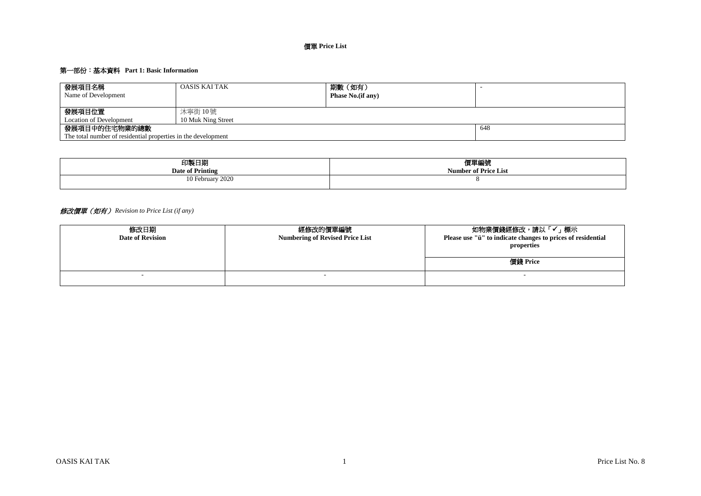# 價單 **Price List**

# 第一部份:基本資料 **Part 1: Basic Information**

| 發展項目名稱<br>Name of Development                                 | OASIS KAI TAK      | 期數(如有)<br><b>Phase No.</b> (if any) |  |  |  |  |  |
|---------------------------------------------------------------|--------------------|-------------------------------------|--|--|--|--|--|
| 發展項目位置                                                        | 沐寧街 10 號           |                                     |  |  |  |  |  |
| <b>Location of Development</b>                                | 10 Muk Ning Street |                                     |  |  |  |  |  |
| 發展項目中的住宅物業的總數                                                 | 648                |                                     |  |  |  |  |  |
| The total number of residential properties in the development |                    |                                     |  |  |  |  |  |

| 印製日期                  | 價單編號                        |
|-----------------------|-----------------------------|
| Date of Printing      | <b>Number of Price List</b> |
| 10 February 2020<br>. |                             |

# 修改價單(如有) *Revision to Price List (if any)*

| 修改日期<br><b>Date of Revision</b> | 經修改的價單編號<br><b>Numbering of Revised Price List</b> | 如物業價錢經修改,請以「✔」標示<br>Please use "ü" to indicate changes to prices of residential<br>properties<br>價錢 Price |
|---------------------------------|----------------------------------------------------|-----------------------------------------------------------------------------------------------------------|
|                                 |                                                    |                                                                                                           |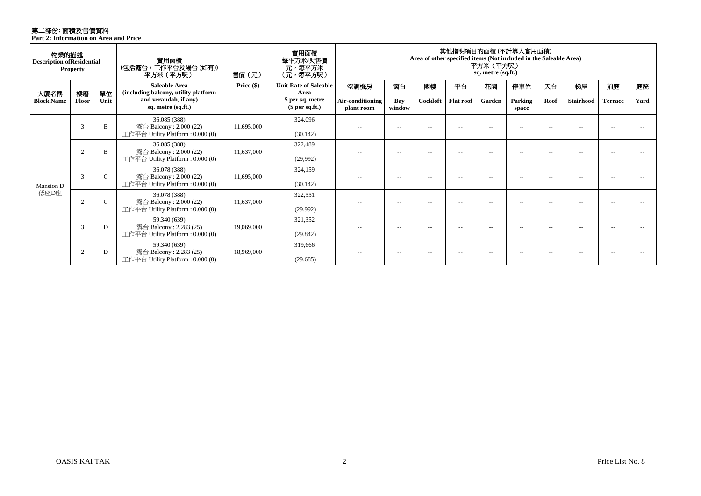# 第二部份**:** 面積及售價資料

**Part 2: Information on Area and Price**

| 物業的描述<br><b>Description of Residential</b><br><b>Property</b> |                |             | 實用面積<br>(包括露台,工作平台及陽台(如有))<br>平方米 (平方呎)                                               | 實用面積<br>每平方米/呎售價<br>元,每平方米<br>(元,每平方呎) | 其他指明項目的面積 (不計算人實用面積)<br>Area of other specified items (Not included in the Saleable Area)<br>平方米(平方呎)<br>sq. metre (sq.ft.) |                          |                          |                          |                          |                          |                   |                          |                        |                      |            |
|---------------------------------------------------------------|----------------|-------------|---------------------------------------------------------------------------------------|----------------------------------------|-----------------------------------------------------------------------------------------------------------------------------|--------------------------|--------------------------|--------------------------|--------------------------|--------------------------|-------------------|--------------------------|------------------------|----------------------|------------|
| 大廈名稱<br><b>Block Name</b>                                     | 樓層<br>Floor    | 單位<br>Unit  | <b>Saleable Area</b><br>(including balcony, utility platform<br>and verandah, if any) | Price $(\$)$                           | <b>Unit Rate of Saleable</b><br>Area<br>\$ per sq. metre                                                                    | 空調機房<br>Air-conditioning | 窗台<br>Bay                | 閣樓<br>Cockloft           | 平台<br><b>Flat roof</b>   | 花園<br>Garden             | 停車位<br>Parking    | 天台<br>Roof               | 梯屋<br><b>Stairhood</b> | 前庭<br><b>Terrace</b> | 庭院<br>Yard |
|                                                               |                |             | sq. metre (sq.ft.)                                                                    |                                        | $$$ per sq.ft.)                                                                                                             | plant room               | window                   |                          |                          |                          | space             |                          |                        |                      |            |
|                                                               | 3              | B           | 36.085 (388)<br>露台 Balcony : $2.000(22)$<br>工作平台 Utility Platform: 0.000 (0)          | 11,695,000                             | 324,096<br>(30, 142)                                                                                                        | $-$                      | $-$                      | $-$                      | $-$                      |                          |                   | $-$                      |                        |                      |            |
| Mansion D<br>低座D座                                             |                |             | 36.085 (388)                                                                          |                                        | 322,489                                                                                                                     |                          |                          |                          |                          |                          |                   |                          |                        |                      |            |
|                                                               | $\overline{2}$ | B           | 露台 Balcony: $2.000(22)$<br>工作平台 Utility Platform: 0.000 (0)                           | 11.637.000                             | (29,992)                                                                                                                    | $- -$                    | $-$                      | $- -$                    | $-$                      | $ -$                     |                   | $-$                      | $-$                    | $- -$                |            |
|                                                               | 3              | $\mathbf C$ | 36.078 (388)<br>露台 Balcony: 2.000 (22)<br>工作平台 Utility Platform: 0.000 (0)            | 11.695.000                             | 324,159<br>(30, 142)                                                                                                        | $-$                      | $- -$                    | $\overline{\phantom{m}}$ | $-$                      | $ -$                     |                   | $-$                      | $-$                    | $- -$                |            |
|                                                               | $\overline{2}$ | $\mathbf C$ | 36.078 (388)<br>露台 Balcony: $2.000(22)$<br>工作平台 Utility Platform : $0.000(0)$         | 11,637,000                             | 322,551<br>(29,992)                                                                                                         | $\overline{\phantom{a}}$ | $\overline{\phantom{a}}$ | $- -$                    | $\overline{\phantom{a}}$ | $-$                      | $\qquad \qquad -$ | $\overline{\phantom{a}}$ | $- -$                  | $- -$                |            |
|                                                               | 3              | D           | 59.340 (639)<br>露台 Balcony: $2.283(25)$<br>工作平台 Utility Platform : $0.000(0)$         | 19,069,000                             | 321,352<br>(29, 842)                                                                                                        | $-$                      | $- -$                    | $- -$                    | $-$                      | $\overline{\phantom{a}}$ |                   | $-$                      | $-$                    | $-$                  |            |
|                                                               | $\overline{c}$ | D           | 59.340 (639)<br>露台 Balcony: $2.283(25)$<br>工作平台 Utility Platform : $0.000(0)$         | 18,969,000                             | 319,666<br>(29,685)                                                                                                         |                          | $-$                      |                          |                          |                          |                   |                          |                        |                      |            |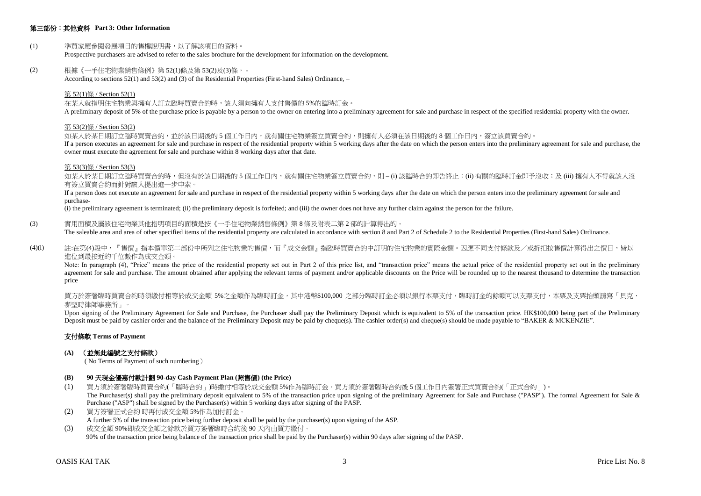## 第三部份:其他資料 **Part 3: Other Information**

## (1) 準買家應參閱發展項目的售樓說明書,以了解該項目的資料。

Prospective purchasers are advised to refer to the sales brochure for the development for information on the development.

#### (2) 根據《一手住宅物業銷售條例》第 52(1)條及第 53(2)及(3)條, -

According to sections 52(1) and 53(2) and (3) of the Residential Properties (First-hand Sales) Ordinance, –

#### 第 52(1)條 / Section 52(1)

在某人就指明住宅物業與擁有人訂立臨時買賣合約時,該人須向擁有人支付售價的 5%的臨時訂金。

A preliminary deposit of 5% of the purchase price is payable by a person to the owner on entering into a preliminary agreement for sale and purchase in respect of the specified residential property with the owner.

#### 第 53(2)條 / Section 53(2)

如某人於某日期訂立臨時買賣合約,並於該日期後的5個工作日內,就有關住宅物業簽立買賣合約,則擁有人必須在該日期後的8個工作日內,簽立該買賣合約。

If a person executes an agreement for sale and purchase in respect of the residential property within 5 working days after the date on which the person enters into the preliminary agreement for sale and purchase, the owner must execute the agreement for sale and purchase within 8 working days after that date.

#### 第 53(3)條 / Section 53(3)

如某人於某日期訂立臨時冒賣合約時,但沒有於該日期後的 5 個工作日内,就有關住宅物業簽立買賣合約,則 – (i) 該臨時合約即告終止;(ii) 有關的臨時訂金即予沒收;及 (iii) 擁有人不得就該人沒 有簽立買賣合約而針對該人提出進一步申索。

If a person does not execute an agreement for sale and purchase in respect of the residential property within 5 working days after the date on which the person enters into the preliminary agreement for sale and purchase-

(i) the preliminary agreement is terminated; (ii) the preliminary deposit is forfeited; and (iii) the owner does not have any further claim against the person for the failure.

(3) 實用面積及屬該住宅物業其他指明項目的面積是按《一手住宅物業銷售條例》第 8 條及附表二第 2 部的計算得出的。

The saleable area and area of other specified items of the residential property are calculated in accordance with section 8 and Part 2 of Schedule 2 to the Residential Properties (First-hand Sales) Ordinance.

(4)(i) 註:在第(4)段中,『售價』指本價單第二部份中所列之住宅物業的售價,而『成交金額』指臨時買賣合約中訂明的住宅物業的實際金額。因應不同支付條款及/或折扣按售價計算得出之價目,皆以 進位到最接近的千位數作為成交金額。

Note: In paragraph (4), "Price" means the price of the residential property set out in Part 2 of this price list, and "transaction price" means the actual price of the residential property set out in the preliminary agreement for sale and purchase. The amount obtained after applying the relevant terms of payment and/or applicable discounts on the Price will be rounded up to the nearest thousand to determine the transaction price

買方於簽署臨時買賣合約時須繳付相等於成交金額 5%之金額作為臨時訂金,其中港幣\$100,000 之部分臨時訂金必須以銀行本票支付,臨時訂金的餘額可以支票支付,本票及支票抬頭請寫「貝克· 麥堅時律師事務所」。

Upon signing of the Preliminary Agreement for Sale and Purchase, the Purchaser shall pay the Preliminary Deposit which is equivalent to 5% of the transaction price. HK\$100,000 being part of the Preliminary Deposit must be paid by cashier order and the balance of the Preliminary Deposit may be paid by cheque(s). The cashier order(s) and cheque(s) should be made payable to "BAKER & MCKENZIE".

## 支付條款 **Terms of Payment**

#### **(A)** (並無此編號之支付條款)

( No Terms of Payment of such numbering)

#### **(B) 90** 天現金優惠付款計劃 **90-day Cash Payment Plan (**照售價**) (the Price)**

- (1) 買方須於簽署臨時買賣合約(「臨時合約」)時繳付相等於成交金額 5%作為臨時訂金。買方須於簽署臨時合約後 5 個工作日內簽署正式買賣合約(「正式合約」)。 The Purchaser(s) shall pay the preliminary deposit equivalent to 5% of the transaction price upon signing of the preliminary Agreement for Sale and Purchase ("PASP"). The formal Agreement for Sale & Purchase ("ASP") shall be signed by the Purchaser(s) within 5 working days after signing of the PASP.
- (2) 買方簽署正式合約 時再付成交金額 5%作為加付訂金。 A further 5% of the transaction price being further deposit shall be paid by the purchaser(s) upon signing of the ASP.
- (3) 成交金額 90%即成交金額之餘款於買方簽署臨時合約後 90 天內由買方繳付。 90% of the transaction price being balance of the transaction price shall be paid by the Purchaser(s) within 90 days after signing of the PASP.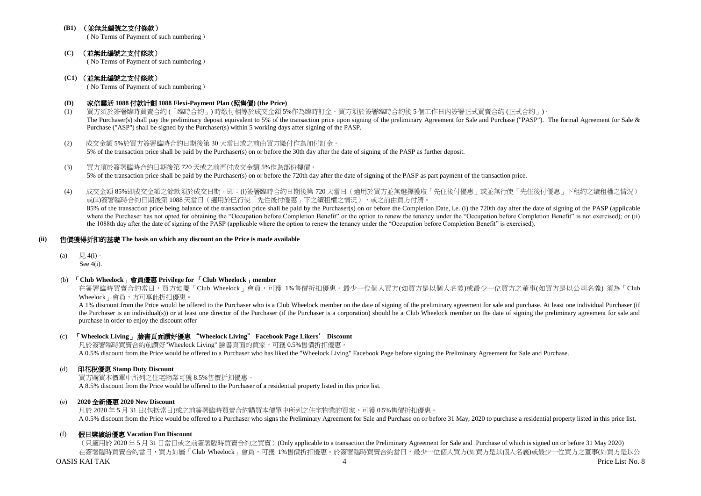## **(B1)** (並無此編號之支付條款)

( No Terms of Payment of such numbering)

### **(C)** (並無此編號之支付條款)

( No Terms of Payment of such numbering)

## **(C1)** (並無此編號之支付條款)

( No Terms of Payment of such numbering)

## **(D)** 家倍靈活 **1088** 付款計劃 **1088 Flexi-Payment Plan (**照售價**) (the Price)**

- (1) 買方須於簽署臨時買賣合約 (「臨時合約」) 時繳付相等於成交金額 5%作為臨時訂金。買方須於簽署臨時合約後 5 個工作日內簽署正式買賣合約 (正式合約」)。 The Purchaser(s) shall pay the preliminary deposit equivalent to 5% of the transaction price upon signing of the preliminary Agreement for Sale and Purchase ("PASP"). The formal Agreement for Sale & Purchase ("ASP") shall be signed by the Purchaser(s) within 5 working days after signing of the PASP.
- (2) 成交金額 5%於買方簽署臨時合約日期後第 30 天當日或之前由買方繳付作為加付訂金。 5% of the transaction price shall be paid by the Purchaser(s) on or before the 30th day after the date of signing of the PASP as further deposit.
- (3) 買方須於簽署臨時合約日期後第 720 天或之前再付成交金額 5%作為部份樓價。 5% of the transaction price shall be paid by the Purchaser(s) on or before the 720th day after the date of signing of the PASP as part payment of the transaction price.
- (4) 成交金額 85%即成交金額之餘款須於成交日期,即:(i)簽署臨時合約日期後第 720 天當日(適用於買方並無選擇獲取「先住後付優惠」或並無行使「先住後付優惠」下租約之續租權之情況) 或(ii)簽署臨時合約日期後第 1088 天當日 (適用於已行使「先住後付優惠」下之續租權之情況),或之前由買方付清。 85% of the transaction price being balance of the transaction price shall be paid by the Purchaser(s) on or before the Completion Date, i.e. (i) the 720th day after the date of signing of the PASP (applicable where the Purchaser has not opted for obtaining the "Occupation before Completion Benefit" or the option to renew the tenancy under the "Occupation before Completion Benefit" is not exercised); or (ii) the 1088th day after the date of signing of the PASP (applicable where the option to renew the tenancy under the "Occupation before Completion Benefit" is exercised).

#### **(ii)** 售價獲得折扣的基礎 **The basis on which any discount on the Price is made available**

(a)  $\quad \overline{H}$ , 4(i)。

See 4(i).

#### (b)「**Club Wheelock**」會員優惠 **Privilege for** 「**Club Wheelock**」**member**

在簽署臨時買賣合約當日,買方如屬「Club Wheelock」會員,可獲 1%售價折扣優惠。最少一位個人買方(如買方是以個人名義)或最少一位買方之董事(如買方是以公司名義) 須為「Club Wheelock」會員,方可享此折扣優惠。

A 1% discount from the Price would be offered to the Purchaser who is a Club Wheelock member on the date of signing of the preliminary agreement for sale and purchase. At least one individual Purchaser (if the Purchaser is an individual(s)) or at least one director of the Purchaser (if the Purchaser is a corporation) should be a Club Wheelock member on the date of signing the preliminary agreement for sale and purchase in order to enjoy the discount offer

## (c) 「**Wheelock Living**」 臉書頁面讚好優惠 "**Wheelock Living**" **Facebook Page Likers**' **Discount**

凡於簽署臨時買賣合約前讚好"Wheelock Living" 臉書頁面的買家,可獲 0.5%售價折扣優惠。 A 0.5% discount from the Price would be offered to a Purchaser who has liked the "Wheelock Living" Facebook Page before signing the Preliminary Agreement for Sale and Purchase.

## (d) 印花稅優惠 **Stamp Duty Discount**

買方購買本價單中所列之住宅物業可獲 8.5%售價折扣優惠。 A 8.5% discount from the Price would be offered to the Purchaser of a residential property listed in this price list.

#### (e) **2020** 全新優惠 **2020 New Discount**

凡於 2020 年 5 月 31 日(包括當日)或之前簽署臨時買賣合約購買本價單中所列之住宅物業的買家,可獲 0.5%售價折扣優惠 A 0.5% discount from the Price would be offered to a Purchaser who signs the Preliminary Agreement for Sale and Purchase on or before 31 May, 2020 to purchase a residential property listed in this price list.

## (f) 假日樂繽紛優惠 **Vacation Fun Discount**

OASIS KAI TAK 4 Price List No. 8 (只適用於 2020 年 5 月 31 日當日或之前簽署臨時買賣合約之買賣)(Only applicable to a transaction the Preliminary Agreement for Sale and Purchase of which is signed on or before 31 May 2020) 在簽署臨時買賣合約當日,買方如屬「Club Wheelock」會員,可獲 1%售價折扣優惠。於簽署臨時買賣合約當日,最少一位個人買方(如買方是以個人名義)或最少一位買方之董事(如買方是以公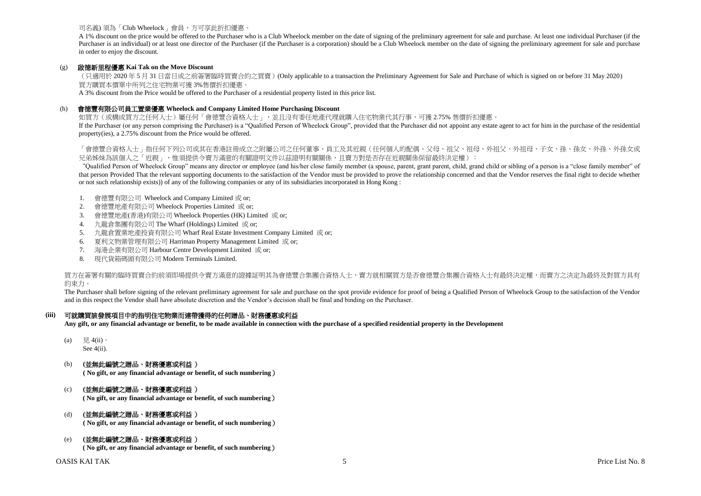## 司名義) 須為「Club Wheelock」會員,方可享此折扣優惠。

A 1% discount on the price would be offered to the Purchaser who is a Club Wheelock member on the date of signing of the preliminary agreement for sale and purchase. At least one individual Purchaser (if the Purchaser is an individual) or at least one director of the Purchaser (if the Purchaser is a corporation) should be a Club Wheelock member on the date of signing the preliminary agreement for sale and purchase in order to enjoy the discount.

#### (g) 啟德新里程優惠 **Kai Tak on the Move Discount**

(只適用於 2020 年 5 月 31 日當日或之前簽署臨時買賣合約之買賣)(Only applicable to a transaction the Preliminary Agreement for Sale and Purchase of which is signed on or before 31 May 2020) 買方購買本價單中所列之住宅物業可獲 3%售價折扣優惠。

A 3% discount from the Price would be offered to the Purchaser of a residential property listed in this price list.

#### (h) 會德豐有限公司員工置業優惠 **Wheelock and Company Limited Home Purchasing Discount**

如買方(或構成買方之任何人士)屬任何「會德豐合資格人士」,並且沒有委任地產代理就購入住宅物業代其行事,可獲 2.75% 售價折扣優惠。

If the Purchaser (or any person comprising the Purchaser) is a "Qualified Person of Wheelock Group", provided that the Purchaser did not appoint any estate agent to act for him in the purchase of the residential property(ies), a 2.75% discount from the Price would be offered.

「會德豐合資格人士」指任何下列公司或其在香港註冊成立之附屬公司之任何董事、員工及其近親(任何個人的配偶、父母、祖父、祖母、外祖父、外祖母、子女、孫、孫女、外孫、外孫女或 兄弟姊妹為該個人之「近親」,惟須提供令賣方滿意的有關證明文件以茲證明有關關係,且賣方對是否存在近親關係保留最終決定權):

"Qualified Person of Wheelock Group" means any director or employee (and his/her close family member (a spouse, parent, grant parent, child, grand child or sibling of a person is a "close family member" of that person Provided That the relevant supporting documents to the satisfaction of the Vendor must be provided to prove the relationship concerned and that the Vendor reserves the final right to decide whether or not such relationship exists)) of any of the following companies or any of its subsidiaries incorporated in Hong Kong :

- 1. 會德豐有限公司 Wheelock and Company Limited 或 or;
- 2. 會德豐地產有限公司 Wheelock Properties Limited 或 or;
- 3. 會德豐地產(香港)有限公司 Wheelock Properties (HK) Limited 或 or;
- 4. 九龍倉集團有限公司 The Wharf (Holdings) Limited 或 or;
- 5. 九龍倉置業地產投資有限公司 Wharf Real Estate Investment Company Limited 或 or;
- 6. 夏利文物業管理有限公司 Harriman Property Management Limited 或 or;
- 7. 海港企業有限公司 Harbour Centre Development Limited 或 or;
- 8. 現代貨箱碼頭有限公司 Modern Terminals Limited.

買方在簽署有關的臨時買賣合約前須即場提供今賣方滿意的證據証明其為會德豐合集團合資格人士,賣方就相關買方是否會德豐合集團合資格人士有最終決定權,而賣方之決定為最終及對買方具有 約束力。

The Purchaser shall before signing of the relevant preliminary agreement for sale and purchase on the spot provide evidence for proof of being a Qualified Person of Wheelock Group to the satisfaction of the Vendor and in this respect the Vendor shall have absolute discretion and the Vendor's decision shall be final and binding on the Purchaser.

## **(iii)** 可就購買該發展項目中的指明住宅物業而連帶獲得的任何贈品、財務優惠或利益

**Any gift, or any financial advantage or benefit, to be made available in connection with the purchase of a specified residential property in the Development**

(a)  $\quad \nexists. 4(ii)$ 。

See 4(ii).

(b) **(**並無此編號之贈品、財務優惠或利益 )

**( No gift, or any financial advantage or benefit, of such numbering**)

## (c) **(**並無此編號之贈品、財務優惠或利益 )

**( No gift, or any financial advantage or benefit, of such numbering**)

## (d) **(**並無此編號之贈品、財務優惠或利益 )

**( No gift, or any financial advantage or benefit, of such numbering**)

## (e) **(**並無此編號之贈品、財務優惠或利益 )

**( No gift, or any financial advantage or benefit, of such numbering**)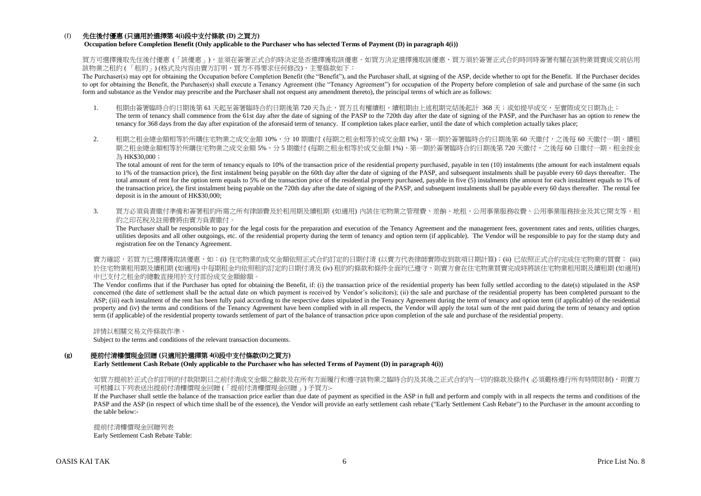## (f) 先住後付優惠 **(**只適用於選擇第 **4(i)**段中支付條款 **(D)** 之買方**)**

**Occupation before Completion Benefit (Only applicable to the Purchaser who has selected Terms of Payment (D) in paragraph 4(i))**

買方可選擇獲取先住後付優惠 (「該優惠」),並須在簽署正式合約時決定是否選擇獲取該優惠。如買方決定選擇獲取該優惠,買方須於簽署正式合約時同時簽署有關在該物業買賣成交前佔用 該物業之租約 ( 「租約」) (格式及內容由賣方訂明,買方不得要求任何修改),主要條款如下:

The Purchaser(s) may opt for obtaining the Occupation before Completion Benefit (the "Benefit"), and the Purchaser shall, at signing of the ASP, decide whether to opt for the Benefit. If the Purchaser decides to opt for obtaining the Benefit, the Purchaser(s) shall execute a Tenancy Agreement (the "Tenancy Agreement") for occupation of the Property before completion of sale and purchase of the same (in such form and substance as the Vendor may prescribe and the Purchaser shall not request any amendment thereto), the principal terms of which are as follows:

- 1. 租期由簽署臨時合約日期後第 61 天起至簽署臨時合約日期後第 720 天為止,買方且有權續租,續租期由上述租期完結後起計 368 天;或如提早成交,至實際成交日期為止; The term of tenancy shall commence from the 61st day after the date of signing of the PASP to the 720th day after the date of signing of the PASP, and the Purchaser has an option to renew the tenancy for 368 days from the day after expiration of the aforesaid term of tenancy. If completion takes place earlier, until the date of which completion actually takes place;
- 2. 租期之租金總金額相等於所購住宅物業之成交金額 10%,分 10 期繳付 (每期之租金相等於成交金額 1%),第一期於簽署臨時合約日期後第 60 天繳付,之後每 60 天繳付一期。續租 期之租金總金額相等於所購住宅物業之成交金額 5%,分 5 期繳付 (每期之租金相等於成交金額 1%),第一期於簽署臨時合約日期後第 720 天繳付,之後每 60 日繳付一期。租金按金 為 HK\$30,000;

The total amount of rent for the term of tenancy equals to 10% of the transaction price of the residential property purchased, payable in ten (10) instalments (the amount for each instalment equals to 1% of the transaction price), the first instalment being payable on the 60th day after the date of signing of the PASP, and subsequent instalments shall be payable every 60 days thereafter. The total amount of rent for the option term equals to 5% of the transaction price of the residential property purchased, payable in five (5) instalments (the amount for each instalment equals to 1% of the transaction price), the first instalment being payable on the 720th day after the date of signing of the PASP, and subsequent instalments shall be payable every 60 days thereafter. The rental fee deposit is in the amount of HK\$30,000;

3. 買方必須負責繳付準備和簽署租約所需之所有律師費及於租用期及續租期 (如適用) 內該住宅物業之管理費、差餉、地租、公用事業服務收費、公用事業服務按金及其它開支等。租 約之印花稅及註冊費將由賣方負責繳付。

The Purchaser shall be responsible to pay for the legal costs for the preparation and execution of the Tenancy Agreement and the management fees, government rates and rents, utilities charges, utilities deposits and all other outgoings, etc. of the residential property during the term of tenancy and option term (if applicable). The Vendor will be responsible to pay for the stamp duty and registration fee on the Tenancy Agreement.

賣方確認,若買方已選擇獲取該優惠,如:(i) 住宅物業的成交金額依照正式合約訂定的日期付清 (以賣方代表律師實際收到款項日期計算);(ii) 已依照正式合約完成住宅物業的買賣; (iii) 於住宅物業租用期及續租期 (如適用) 中每期租金均依照租約訂定的日期付清及 (iv) 租約的條款和條件全面均已遵守,則賣方會在住宅物業買賣完成時將該住宅物業租用期及續租期 (如適用) 中已支付之租金的總數直接用於支付部份成交金額餘額。

The Vendor confirms that if the Purchaser has opted for obtaining the Benefit, if: (i) the transaction price of the residential property has been fully settled according to the date(s) stipulated in the ASP concerned (the date of settlement shall be the actual date on which payment is received by Vendor's solicitors); (ii) the sale and purchase of the residential property has been completed pursuant to the ASP; (iii) each instalment of the rent has been fully paid according to the respective dates stipulated in the Tenancy Agreement during the term of tenancy and option term (if applicable) of the residential property and (iv) the terms and conditions of the Tenancy Agreement have been complied with in all respects, the Vendor will apply the total sum of the rent paid during the term of tenancy and option term (if applicable) of the residential property towards settlement of part of the balance of transaction price upon completion of the sale and purchase of the residential property.

詳情以相關交易文件條款作準。

Subject to the terms and conditions of the relevant transaction documents.

## **(g)** 提前付清樓價現金回贈 **(**只適用於選擇第 **4(i)**段中支付條款**(D)**之買方**)**

**Early Settlement Cash Rebate (Only applicable to the Purchaser who has selected Terms of Payment (D) in paragraph 4(i))**

如買方提前於正式合約訂明的付款限期日之前付清成交金額之餘款及在所有方面履行和遵守該物業之臨時合約及其後之正式合約內一切的條款及條件( 必須嚴格遵行所有時間限制), 則賣方 可根據以下列表送出提前付清樓價現金回贈 (「提前付清樓價現金回贈」) 予買方:-

If the Purchaser shall settle the balance of the transaction price earlier than due date of payment as specified in the ASP in full and perform and comply with in all respects the terms and conditions of the PASP and the ASP (in respect of which time shall be of the essence), the Vendor will provide an early settlement cash rebate ("Early Settlement Cash Rebate") to the Purchaser in the amount according to the table below:-

提前付清樓價現金回贈列表 Early Settlement Cash Rebate Table: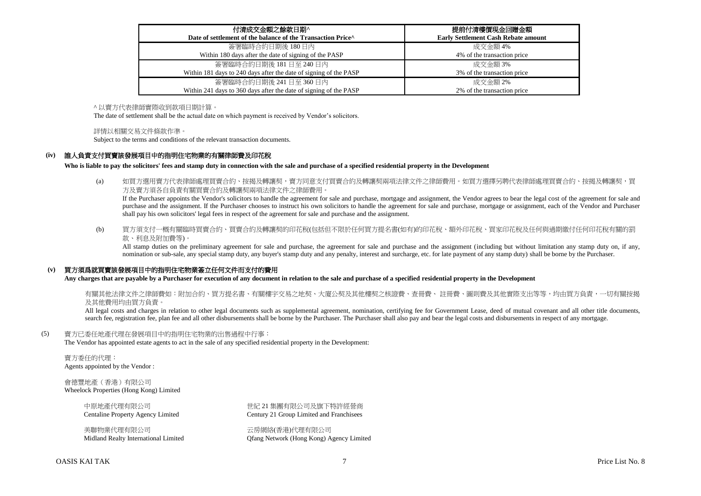| 付清成交金額之餘款日期^<br>Date of settlement of the balance of the Transaction Price^ | 提前付清樓價現金回贈金額<br><b>Early Settlement Cash Rebate amount</b> |
|-----------------------------------------------------------------------------|------------------------------------------------------------|
| 簽署臨時合約日期後 180日內                                                             | 成交金額 4%                                                    |
| Within 180 days after the date of signing of the PASP                       | 4% of the transaction price                                |
| 簽署臨時合約日期後 181 日至 240 日内                                                     | 成交金額 3%                                                    |
| Within 181 days to 240 days after the date of signing of the PASP           | 3% of the transaction price                                |
| 簽署臨時合約日期後 241 日至 360 日内                                                     | 成交金額 2%                                                    |
| Within 241 days to 360 days after the date of signing of the PASP           | 2% of the transaction price                                |

^ 以賣方代表律師實際收到款項日期計算。

The date of settlement shall be the actual date on which payment is received by Vendor's solicitors.

#### 詳情以相關交易文件條款作準。

Subject to the terms and conditions of the relevant transaction documents.

#### **(iv)** 誰人負責支付買賣該發展項目中的指明住宅物業的有關律師費及印花稅

**Who is liable to pay the solicitors' fees and stamp duty in connection with the sale and purchase of a specified residential property in the Development**

(a) 如買方選用賣方代表律師處理買賣合約、按揭及轉讓契,賣方同意支付買賣合約及轉讓契兩項法律文件之律師費用。如買方選擇另聘代表律師處理買賣合約、按揭及轉讓契,買 方及賣方須各自負責有關買賣合約及轉讓契兩項法律文件之律師費用。

If the Purchaser appoints the Vendor's solicitors to handle the agreement for sale and purchase, mortgage and assignment, the Vendor agrees to bear the legal cost of the agreement for sale and purchase and the assignment. If the Purchaser chooses to instruct his own solicitors to handle the agreement for sale and purchase, mortgage or assignment, each of the Vendor and Purchaser shall pay his own solicitors' legal fees in respect of the agreement for sale and purchase and the assignment.

(b) 買方須支付一概有關臨時買賣合約、買賣合約及轉讓契的印花稅(包括但不限於任何買方提名書(如有)的印花稅、額外印花稅、買家印花稅及任何與過期繳付任何印花稅有關的罰 款、利息及附加費等)。

All stamp duties on the preliminary agreement for sale and purchase, the agreement for sale and purchase and the assignment (including but without limitation any stamp duty on, if any, nomination or sub-sale, any special stamp duty, any buyer's stamp duty and any penalty, interest and surcharge, etc. for late payment of any stamp duty) shall be borne by the Purchaser.

## **(v)** 買方須爲就買賣該發展項目中的指明住宅物業簽立任何文件而支付的費用

**Any charges that are payable by a Purchaser for execution of any document in relation to the sale and purchase of a specified residential property in the Development**

有關其他法律文件之律師費如:附加合約、買方提名書、有關樓宇交易之地契、大廈公契及其他樓契之核證費、杳冊費、 註冊費、圖則費及其他實際支出等等,均由買方負責,一切有關按揭 及其他費用均由買方負責。

All legal costs and charges in relation to other legal documents such as supplemental agreement, nomination, certifying fee for Government Lease, deed of mutual covenant and all other title documents, search fee, registration fee, plan fee and all other disbursements shall be borne by the Purchaser. The Purchaser shall also pay and bear the legal costs and disbursements in respect of any mortgage.

#### (5) 賣方已委任地產代理在發展項目中的指明住宅物業的出售過程中行事:

The Vendor has appointed estate agents to act in the sale of any specified residential property in the Development:

賣方委任的代理: Agents appointed by the Vendor :

會德豐地產(香港)有限公司 Wheelock Properties (Hong Kong) Limited

美聯物業代理有限公司 おおし この こうしゃ おおし 天房網絡(香港)代理有限公司

中原地產代理有限公司 世紀 21 集團有限公司及旗下特許經營商 Centaline Property Agency Limited Century 21 Group Limited and Franchisees

Midland Realty International Limited Qfang Network (Hong Kong) Agency Limited